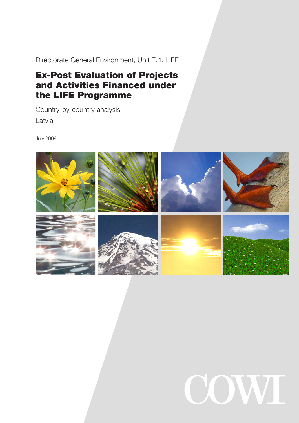Directorate General Environment, Unit E.4. LIFE

# Ex-Post Evaluation of Projects and Activities Financed under the LIFE Programme

Country-by-country analysis

Latvia

July 2009



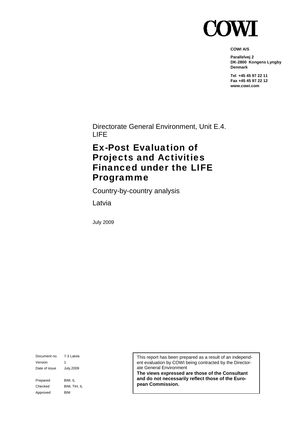

**COWI A/S** 

**Parallelvej 2 DK-2800 Kongens Lyngby Denmark** 

**Tel +45 45 97 22 11 Fax +45 45 97 22 12 www.cowi.com** 

Directorate General Environment, Unit E.4. LIFE

# Ex-Post Evaluation of Projects and Activities Financed under the LIFE Programme

Country-by-country analysis

Latvia

July 2009

Document no. 7-3 Latvia Version 1 Date of issue July.2009 Prepared BIM, IL Checked BIM, TIH, IL Approved BIM

This report has been prepared as a result of an independent evaluation by COWI being contracted by the Directorate General Environment

**The views expressed are those of the Consultant and do not necessarily reflect those of the European Commission.**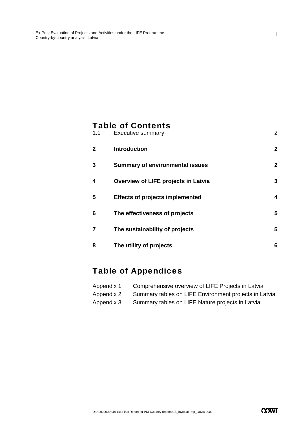## Table of Contents

| 1.1          | <b>Executive summary</b>               | $\overline{2}$ |
|--------------|----------------------------------------|----------------|
| $\mathbf{2}$ | <b>Introduction</b>                    | $\mathbf{2}$   |
| 3            | <b>Summary of environmental issues</b> | $\mathbf{2}$   |
| 4            | Overview of LIFE projects in Latvia    | 3              |
| 5            | <b>Effects of projects implemented</b> | 4              |
| 6            | The effectiveness of projects          | 5              |
| 7            | The sustainability of projects         | 5              |
| 8            | The utility of projects                | 6              |

# Table of Appendices

| Appendix 1 | Comprehensive overview of LIFE Projects in Latvia     |
|------------|-------------------------------------------------------|
| Appendix 2 | Summary tables on LIFE Environment projects in Latvia |
| Appendix 3 | Summary tables on LIFE Nature projects in Latvia      |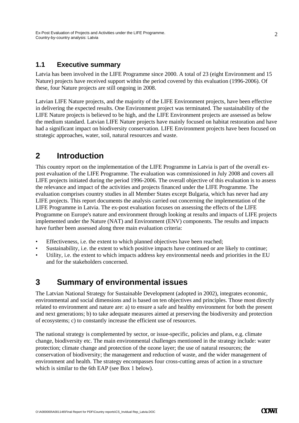#### **1.1 Executive summary**

Latvia has been involved in the LIFE Programme since 2000. A total of 23 (eight Environment and 15 Nature) projects have received support within the period covered by this evaluation (1996-2006). Of these, four Nature projects are still ongoing in 2008.

Latvian LIFE Nature projects, and the majority of the LIFE Environment projects, have been effective in delivering the expected results. One Environment project was terminated. The sustainability of the LIFE Nature projects is believed to be high, and the LIFE Environment projects are assessed as below the medium standard. Latvian LIFE Nature projects have mainly focused on habitat restoration and have had a significant impact on biodiversity conservation. LIFE Environment projects have been focused on strategic approaches, water, soil, natural resources and waste.

#### **2 Introduction**

This country report on the implementation of the LIFE Programme in Latvia is part of the overall expost evaluation of the LIFE Programme. The evaluation was commissioned in July 2008 and covers all LIFE projects initiated during the period 1996-2006. The overall objective of this evaluation is to assess the relevance and impact of the activities and projects financed under the LIFE Programme. The evaluation comprises country studies in all Member States except Bulgaria, which has never had any LIFE projects. This report documents the analysis carried out concerning the implementation of the LIFE Programme in Latvia. The ex-post evaluation focuses on assessing the effects of the LIFE Programme on Europe's nature and environment through looking at results and impacts of LIFE projects implemented under the Nature (NAT) and Environment (ENV) components. The results and impacts have further been assessed along three main evaluation criteria:

- Effectiveness, i.e. the extent to which planned objectives have been reached;
- Sustainability, i.e. the extent to which positive impacts have continued or are likely to continue;
- Utility, i.e. the extent to which impacts address key environmental needs and priorities in the EU and for the stakeholders concerned.

## **3 Summary of environmental issues**

The Latvian National Strategy for Sustainable Development (adopted in 2002), integrates economic, environmental and social dimensions and is based on ten objectives and principles. Those most directly related to environment and nature are: a) to ensure a safe and healthy environment for both the present and next generations; b) to take adequate measures aimed at preserving the biodiversity and protection of ecosystems; c) to constantly increase the efficient use of resources.

The national strategy is complemented by sector, or issue-specific, policies and plans, e.g. climate change, biodiversity etc. The main environmental challenges mentioned in the strategy include: water protection; climate change and protection of the ozone layer; the use of natural resources; the conservation of biodiversity; the management and reduction of waste, and the wider management of environment and health. The strategy encompasses four cross-cutting areas of action in a structure which is similar to the 6th EAP (see Box 1 below).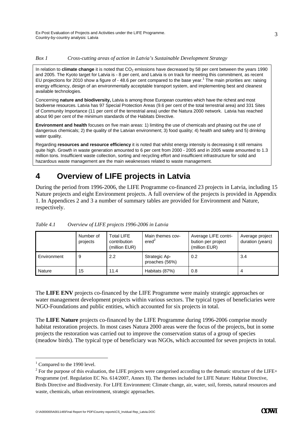#### *Box 1 Cross-cutting areas of action in Latvia's Sustainable Development Strategy*

In relation to **climate change** it is noted that CO<sub>2</sub> emissions have decreased by 58 per cent between the years 1990 and 2005. The Kyoto target for Latvia is - 8 per cent, and Latvia is on track for meeting this commitment, as recent EU projections for 2010 show a figure of - 48.6 per cent compared to the base year.<sup>1</sup> The main priorities are: raising energy efficiency, design of an environmentally acceptable transport system, and implementing best and cleanest available technologies.

Concerning **nature and biodiversity,** Latvia is among those European countries which have the richest and most biodiverse resources. Latvia has 97 Special Protection Areas (9.6 per cent of the total terrestrial area) and 331 Sites of Community Importance (11 per cent of the terrestrial area) under the Natura 2000 network. Latvia has reached about 90 per cent of the minimum standards of the Habitats Directive.

**Environment and health** focuses on five main areas: 1) limiting the use of chemicals and phasing out the use of dangerous chemicals; 2) the quality of the Latvian environment; 3) food quality; 4) health and safety and 5) drinking water quality.

Regarding **resources and resource efficiency** it is noted that whilst energy intensity is decreasing it still remains quite high. Growth in waste generation amounted to 6 per cent from 2000 - 2005 and in 2005 waste amounted to 1.3 million tons. Insufficient waste collection, sorting and recycling effort and insufficient infrastructure for solid and hazardous waste management are the main weaknesses related to waste management.

## **4 Overview of LIFE projects in Latvia**

During the period from 1996-2006, the LIFE Programme co-financed 23 projects in Latvia, including 15 Nature projects and eight Environment projects. A full overview of the projects is provided in Appendix 1. In Appendices 2 and 3 a number of summary tables are provided for Environment and Nature, respectively.

|             | Number of<br>projects | <b>Total LIFE</b><br>contribution<br>(million EUR) | Main themes cov-<br>ered <sup>2</sup> | Average LIFE contri-<br>bution per project<br>(million EUR) | Average project<br>duration (years) |
|-------------|-----------------------|----------------------------------------------------|---------------------------------------|-------------------------------------------------------------|-------------------------------------|
| Environment | 9                     | 2.2                                                | Strategic Ap-<br>proaches (56%)       | 0.2                                                         | 3.4                                 |
| Nature      | 15                    | 11.4                                               | Habitats (87%)                        | 0.8                                                         |                                     |

*Table 4.1 Overview of LIFE projects 1996-2006 in Latvia* 

The **LIFE ENV** projects co-financed by the LIFE Programme were mainly strategic approaches or water management development projects within various sectors. The typical types of beneficiaries were NGO-Foundations and public entities, which accounted for six projects in total.

The **LIFE Nature** projects co-financed by the LIFE Programme during 1996-2006 comprise mostly habitat restoration projects. In most cases Natura 2000 areas were the focus of the projects, but in some projects the restoration was carried out to improve the conservation status of a group of species (meadow birds). The typical type of beneficiary was NGOs, which accounted for seven projects in total.

-

3

<sup>&</sup>lt;sup>1</sup> Compared to the 1990 level.

 $2^2$  For the purpose of this evaluation, the LIFE projects were categorised according to the thematic structure of the LIFE+ Programme (ref. Regulation EC No. 614/2007, Annex II). The themes included for LIFE Nature: Habitat Directive, Birds Directive and Biodiversity. For LIFE Environment: Climate change, air, water, soil, forests, natural resources and waste, chemicals, urban environment, strategic approaches.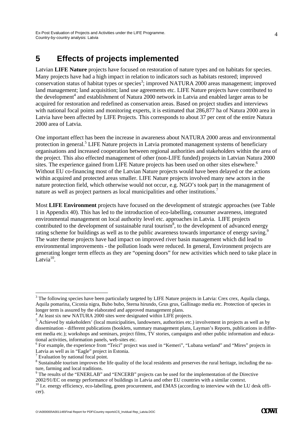### **5 Effects of projects implemented**

Latvian **LIFE Nature** projects have focused on restoration of nature types and on habitats for species. Many projects have had a high impact in relation to indicators such as habitats restored; improved conservation status of habitat types or species<sup>3</sup>; improved NATURA 2000 areas management; improved land management; land acquisition; land use agreements etc. LIFE Nature projects have contributed to the development<sup>4</sup> and establishment of Natura 2000 network in Latvia and enabled larger areas to be acquired for restoration and redefined as conservation areas. Based on project studies and interviews with national focal points and monitoring experts, it is estimated that 286,877 ha of Natura 2000 area in Latvia have been affected by LIFE Projects. This corresponds to about 37 per cent of the entire Natura 2000 area of Latvia.

One important effect has been the increase in awareness about NATURA 2000 areas and environmental protection in general.<sup>5</sup> LIFE Nature projects in Latvia promoted management systems of beneficiary organisations and increased cooperation between regional authorities and stakeholders within the area of the project. This also effected management of other (non-LIFE funded) projects in Latvian Natura 2000 sites. The experience gained from LIFE Nature projects has been used on other sites elsewhere.<sup>6</sup> Without EU co-financing most of the Latvian Nature projects would have been delayed or the actions within acquired and protected areas smaller. LIFE Nature projects involved many new actors in the nature protection field, which otherwise would not occur, e.g. NGO's took part in the management of nature as well as project partners as local municipalities and other institutions.<sup>7</sup>

Most **LIFE Environment** projects have focused on the development of strategic approaches (see Table 1 in Appendix 40). This has led to the introduction of eco-labelling, consumer awareness, integrated environmental management on local authority level etc. approaches in Latvia. LIFE projects contributed to the development of sustainable rural tourism<sup>8</sup>, to the development of advanced energy rating scheme for buildings as well as to the public awareness towards importance of energy saving.<sup>9</sup> The water theme projects have had impact on improved river basin management which did lead to environmental improvements - the pollution loads were reduced. In general, Environment projects are generating longer term effects as they are "opening doors" for new activities which need to take place in Latvia $10$ .

-

4

<sup>&</sup>lt;sup>3</sup> The following species have been particularly targeted by LIFE Nature projects in Latvia: Crex crex, Aquila clanga, Aquila pomarina, Ciconia nigra, Bubo bubo, Sterna hirundo, Grus grus, Gallinago media etc. Protection of species in longer term is assured by the elaborated and approved management plans.

<sup>&</sup>lt;sup>4</sup> At least six new NATURA 2000 sites were designated within LIFE projects.

<sup>&</sup>lt;sup>5</sup> Achieved by stakeholders' (local municipalities, landowners, authorities etc.) involvement in projects as well as by dissemination - different publications (booklets, summary management plans, Layman's Reports, publications in different media etc.); workshops and seminars, project films, TV stories, campaigns and other public information and educational activities, information panels, web-sites etc.

<sup>&</sup>lt;sup>6</sup> For example, the experience from "Teici" project was used in "Kemeri", "Lubana wetland" and "Mires" projects in Latvia as well as in "Eagle" project in Estonia.

<sup>&</sup>lt;sup>7</sup> Evaluation by national focal point.

<sup>&</sup>lt;sup>8</sup> Sustainable tourism improves the life quality of the local residents and preserves the rural heritage, including the nature, farming and local traditions.

<sup>&</sup>lt;sup>9</sup> The results of the "ENERLAB" and "ENCERB" projects can be used for the implementation of the Directive

<sup>2002/91/</sup>EC on energy performance of buildings in Latvia and other EU countries with a similar context.<br><sup>10</sup> I.e. energy efficiency, eco-labelling, green procurement, and EMAS (according to interview with the LU desk officer).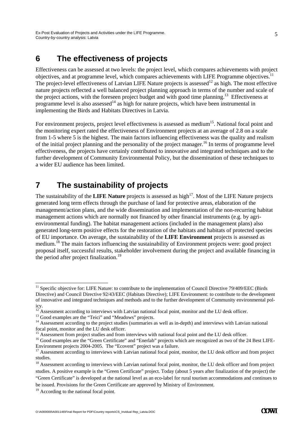#### **6 The effectiveness of projects**

Effectiveness can be assessed at two levels: the project level, which compares achievements with project objectives, and at programme level, which compares achievements with LIFE Programme objectives.11 The project-level effectiveness of Latvian LIFE Nature projects is assessed<sup>12</sup> as high. The most effective nature projects reflected a well balanced project planning approach in terms of the number and scale of the project actions, with the foreseen project budget and with good time planning.13 Effectiveness at programme level is also assessed<sup>14</sup> as high for nature projects, which have been instrumental in implementing the Birds and Habitats Directives in Latvia.

For environment projects, project level effectiveness is assessed as medium<sup>15</sup>. National focal point and the monitoring expert rated the effectiveness of Environment projects at an average of 2.8 on a scale from 1-5 where 5 is the highest. The main factors influencing effectiveness was the quality and realism of the initial project planning and the personality of the project manager.<sup>16</sup> In terms of programme level effectiveness, the projects have certainly contributed to innovative and integrated techniques and to the further development of Community Environmental Policy, but the dissemination of these techniques to a wider EU audience has been limited.

#### **7 The sustainability of projects**

The sustainability of the **LIFE Nature** projects is assessed as high<sup>17</sup>. Most of the LIFE Nature projects generated long term effects through the purchase of land for protective areas, elaboration of the management/action plans, and the wide dissemination and implementation of the non-recurring habitat management actions which are normally not financed by other financial instruments (e.g. by agrienvironmental funding). The habitat management actions (included in the management plans) also generated long-term positive effects for the restoration of the habitats and habitats of protected species of EU importance. On average, the sustainability of the **LIFE Environment** projects is assessed as medium.<sup>18</sup> The main factors influencing the sustainability of Environment projects were: good project proposal itself, successful results, stakeholder involvement during the project and available financing in the period after project finalization.<sup>19</sup>

<sup>-</sup> $11$  Specific objective for: LIFE Nature: to contribute to the implementation of Council Directive 79/409/EEC (Birds Directive) and Council Directive 92/43/EEC (Habitats Directive); LIFE Environment: to contribute to the development of innovative and integrated techniques and methods and to the further development of Community environmental policy.

 $12^{12}$  Assessment according to interviews with Latvian national focal point, monitor and the LU desk officer.  $13$  Good examples are the "Teici" and "Meadows" projects.

<sup>&</sup>lt;sup>14</sup> Assessment according to the project studies (summaries as well as in-depth) and interviews with Latvian national focal point, monitor and the LU desk officer.

<sup>&</sup>lt;sup>15</sup> Assessment from project studies and from interviews with national focal point and the LU desk officer.

<sup>&</sup>lt;sup>16</sup> Good examples are the "Green Certificate" and "Enerlab" projects which are recognized as two of the 24 Best LIFE-Environment projects 2004-2005. The "Ecovent" project was a failure.<br><sup>17</sup> Assessment according to interviews with Latvian national focal point, monitor, the LU desk officer and from project

studies.

<sup>&</sup>lt;sup>18</sup> Assessment according to interviews with Latvian national focal point, monitor, the LU desk officer and from project studies. A positive example is the "Green Certificate" project. Today (about 5 years after finalization of the project) the "Green Certificate" is developed at the national level as an eco-label for rural tourism accommodations and continues to be issued. Provisions for the Green Certificate are approved by Ministry of Environment.

<sup>&</sup>lt;sup>19</sup> According to the national focal point.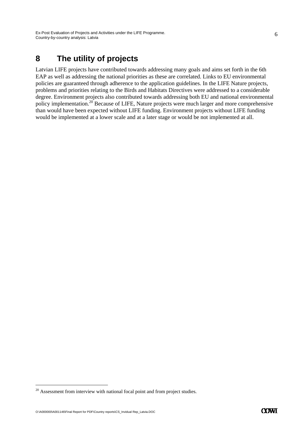## **8 The utility of projects**

Latvian LIFE projects have contributed towards addressing many goals and aims set forth in the 6th EAP as well as addressing the national priorities as these are correlated. Links to EU environmental policies are guaranteed through adherence to the application guidelines. In the LIFE Nature projects, problems and priorities relating to the Birds and Habitats Directives were addressed to a considerable degree. Environment projects also contributed towards addressing both EU and national environmental policy implementation.20 Because of LIFE, Nature projects were much larger and more comprehensive than would have been expected without LIFE funding. Environment projects without LIFE funding would be implemented at a lower scale and at a later stage or would be not implemented at all.

O:\A000000\A001146\Final Report for PDF\Country reports\CS\_Invidual Rep\_Latvia.DOC

-

 $20$  Assessment from interview with national focal point and from project studies.

**COWI**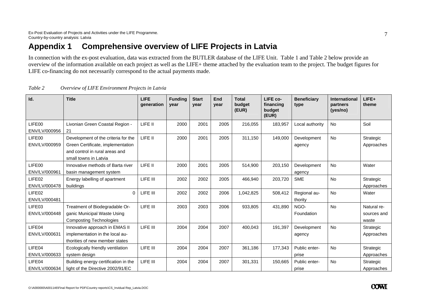## **Appendix 1 Comprehensive overview of LIFE Projects in Latvia**

In connection with the ex-post evaluation, data was extracted from the BUTLER database of the LIFE Unit. Table 1 and Table 2 below provide an overview of the information available on each project as well as the LIFE+ theme attached by the evaluation team to the project. The budget figures for LIFE co-financing do not necessarily correspond to the actual payments made.

| Id.                     | <b>Title</b>                                                                                                                        | <b>LIFE</b><br>generation | <b>Funding</b><br>vear | <b>Start</b><br>year | End<br>year | <b>Total</b><br>budget<br>(EUR) | LIFE co-<br>financing<br>budget<br>(EUR) | <b>Beneficiary</b><br>type | <b>International</b><br>partners<br>(yes/no) | LIFE+<br>theme                      |
|-------------------------|-------------------------------------------------------------------------------------------------------------------------------------|---------------------------|------------------------|----------------------|-------------|---------------------------------|------------------------------------------|----------------------------|----------------------------------------------|-------------------------------------|
| LIFE00<br>ENV/LV/000956 | Livonian Green Coastal Region -<br>21                                                                                               | LIFE II                   | 2000                   | 2001                 | 2005        | 216,055                         | 183,957                                  | Local authority            | No                                           | Soil                                |
| LIFE00<br>ENV/LV/000959 | Development of the criteria for the<br>Green Certificate, implementation<br>and control in rural areas and<br>small towns in Latvia | LIFE II                   | 2000                   | 2001                 | 2005        | 311,150                         | 149,000                                  | Development<br>agency      | <b>No</b>                                    | Strategic<br>Approaches             |
| LIFE00<br>ENV/LV/000961 | Innovative methods of Barta river<br>basin management system                                                                        | LIFE II                   | 2000                   | 2001                 | 2005        | 514,900                         | 203,150                                  | Development<br>agency      | <b>No</b>                                    | Water                               |
| LIFE02<br>ENV/LV/000478 | Energy labelling of apartment<br>buildings                                                                                          | LIFE III                  | 2002                   | 2002                 | 2005        | 466,940                         | 203,720                                  | <b>SME</b>                 | <b>No</b>                                    | Strategic<br>Approaches             |
| LIFE02<br>ENV/LV/000481 | 0                                                                                                                                   | LIFE III                  | 2002                   | 2002                 | 2006        | 1,042,825                       | 508,412                                  | Regional au-<br>thority    | No                                           | Water                               |
| LIFE03<br>ENV/LV/000448 | Treatment of Biodegradable Or-<br>ganic Municipal Waste Using<br><b>Composting Technologies</b>                                     | LIFE III                  | 2003                   | 2003                 | 2006        | 933,805                         | 431,890                                  | NGO-<br>Foundation         | <b>No</b>                                    | Natural re-<br>sources and<br>waste |
| LIFE04<br>ENV/LV/000631 | Innovative approach in EMAS II<br>implementation in the local au-<br>thorities of new member states                                 | LIFE III                  | 2004                   | 2004                 | 2007        | 400,043                         | 191,397                                  | Development<br>agency      | <b>No</b>                                    | Strategic<br>Approaches             |
| LIFE04<br>ENV/LV/000633 | Ecologically friendly ventilation<br>system design                                                                                  | LIFE III                  | 2004                   | 2004                 | 2007        | 361,186                         | 177,343                                  | Public enter-<br>prise     | <b>No</b>                                    | Strategic<br>Approaches             |
| LIFE04<br>ENV/LV/000634 | Building energy certification in the<br>light of the Directive 2002/91/EC                                                           | LIFE III                  | 2004                   | 2004                 | 2007        | 301.331                         | 150,665                                  | Public enter-<br>prise     | No                                           | Strategic<br>Approaches             |

| Table 2 |  | Overview of LIFE Environment Projects in Latvia |  |
|---------|--|-------------------------------------------------|--|
|         |  |                                                 |  |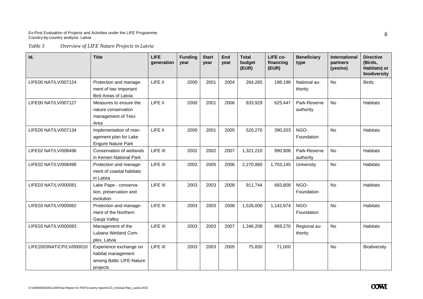*Table 3 Overview of LIFE Nature Projects in Latvia* 

| Id.                      | <b>Title</b>                                                                         | <b>LIFE</b><br>qeneration | <b>Funding</b><br>vear | <b>Start</b><br>vear | <b>End</b><br>vear | <b>Total</b><br>budget<br>(EUR) | LIFE co-<br>financing<br>(EUR) | <b>Beneficiary</b><br>type | <b>International</b><br>partners<br>(yes/no) | <b>Directive</b><br>(Birds,<br>Habitats) or<br>biodiversity |
|--------------------------|--------------------------------------------------------------------------------------|---------------------------|------------------------|----------------------|--------------------|---------------------------------|--------------------------------|----------------------------|----------------------------------------------|-------------------------------------------------------------|
| LIFE00 NAT/LV/007124     | Protection and manage-<br>ment of two Important<br><b>Bird Areas of Latvia</b>       | LIFE II                   | 2000                   | 2001                 | 2004               | 264,265                         | 198,199                        | National au-<br>thority    | <b>No</b>                                    | <b>Birds</b>                                                |
| LIFE00 NAT/LV/007127     | Measures to ensure the<br>nature conservation<br>management of Teici<br>Area         | LIFE II                   | 2000                   | 2001                 | 2006               | 833,929                         | 625,447                        | Park-Reserve<br>authority  | <b>No</b>                                    | <b>Habitats</b>                                             |
| LIFE00 NAT/LV/007134     | Implementation of man-<br>agement plan for Lake<br><b>Engure Nature Park</b>         | LIFE II                   | 2000                   | 2001                 | 2005               | 520,270                         | 390,203                        | NGO-<br>Foundation         | No                                           | <b>Habitats</b>                                             |
| LIFE02 NAT/LV/008496     | Conservation of wetlands<br>in Kemeri National Park                                  | LIFE III                  | 2002                   | 2002                 | 2007               | 1,321,210                       | 990,908                        | Park-Reserve<br>authority  | <b>No</b>                                    | <b>Habitats</b>                                             |
| LIFE02 NAT/LV/008498     | Protection and manage-<br>ment of coastal habitats<br>in Latvia                      | LIFE III                  | 2002                   | 2005                 | 2006               | 2,270,860                       | 1,703,145                      | University                 | No                                           | Habitats                                                    |
| LIFE03 NAT/LV/000081     | Lake Pape - conserva-<br>tion, preservation and<br>evolution                         | LIFE III                  | 2003                   | 2003                 | 2008               | 911,744                         | 683,808                        | NGO-<br>Foundation         | <b>No</b>                                    | <b>Habitats</b>                                             |
| LIFE03 NAT/LV/000082     | Protection and manage-<br>ment of the Northern<br>Gauja Valley                       | LIFE III                  | 2003                   | 2003                 | 2008               | 1,526,000                       | 1,142,974                      | NGO-<br>Foundation         | <b>No</b>                                    | <b>Habitats</b>                                             |
| LIFE03 NAT/LV/000083     | Management of the<br>Lubana Wetland Com-<br>plex, Latvia                             | LIFE III                  | 2003                   | 2003                 | 2007               | 1,346,208                       | 969,270                        | Regional au-<br>thority    | <b>No</b>                                    | <b>Habitats</b>                                             |
| LIFE2003NAT/CP/LV/000010 | Experience exchange on<br>habitat management<br>among Baltic LIFE-Nature<br>projects | LIFE III                  | 2003                   | 2003                 | 2005               | 75,830                          | 71,000                         |                            | <b>No</b>                                    | Biodiversity                                                |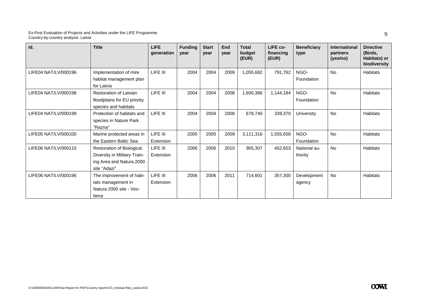| Id.                  | <b>Title</b>                                                                                                 | <b>LIFE</b><br>generation | <b>Funding</b><br>vear | <b>Start</b><br>year | End<br>vear | <b>Total</b><br>budget<br>(EUR) | LIFE co-<br>financing<br>(EUR) | <b>Beneficiary</b><br>type | <b>International</b><br>partners<br>(yes/no) | <b>Directive</b><br>(Birds,<br>Habitats) or<br>biodiversity |
|----------------------|--------------------------------------------------------------------------------------------------------------|---------------------------|------------------------|----------------------|-------------|---------------------------------|--------------------------------|----------------------------|----------------------------------------------|-------------------------------------------------------------|
| LIFE04 NAT/LV/000196 | Implementation of mire<br>habitat management plan<br>for Latvia                                              | LIFE III                  | 2004                   | 2004                 | 2009        | 1,055,682                       | 791,762                        | NGO-<br>Foundation         | <b>No</b>                                    | <b>Habitats</b>                                             |
| LIFE04 NAT/LV/000198 | <b>Restoration of Latvian</b><br>floodplains for EU priority<br>species and habitats                         | LIFE III                  | 2004                   | 2004                 | 2008        | 1,600,366                       | 1.144.184                      | NGO-<br>Foundation         | <b>No</b>                                    | <b>Habitats</b>                                             |
| LIFE04 NAT/LV/000199 | Protection of habitats and<br>species in Nature Park<br>"Razna"                                              | LIFE III                  | 2004                   | 2004                 | 2008        | 678,740                         | 339,370                        | University                 | <b>No</b>                                    | <b>Habitats</b>                                             |
| LIFE05 NAT/LV/000100 | Marine protected areas in<br>the Eastern Baltic Sea                                                          | LIFE III<br>Extension     | 2005                   | 2005                 | 2009        | 3,111,316                       | 1,555,658                      | NGO-<br>Foundation         | <b>No</b>                                    | Habitats                                                    |
| LIFE06 NAT/LV/000110 | <b>Restoration of Biological</b><br>Diversity in Military Train-<br>ing Area and Natura 2000<br>site "Adazi" | LIFE III<br>Extension     | 2006                   | 2006                 | 2010        | 905,307                         | 452,653                        | National au-<br>thority    | <b>No</b>                                    | <b>Habitats</b>                                             |
| LIFE06 NAT/LV/000196 | The improvement of habi-<br>tats management in<br>Natura 2000 site - Ves-<br>tiena                           | LIFE III<br>Extension     | 2006                   | 2006                 | 2011        | 714,601                         | 357,300                        | Development<br>agency      | <b>No</b>                                    | <b>Habitats</b>                                             |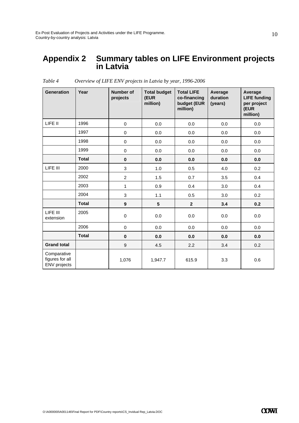#### **Appendix 2 Summary tables on LIFE Environment projects in Latvia**

| <b>Generation</b>                                     | Year         | Number of<br>projects | <b>Total budget</b><br>(EUR<br>million) | <b>Total LIFE</b><br>co-financing<br>budget (EUR<br>million) | Average<br>duration<br>(years) | Average<br><b>LIFE funding</b><br>per project<br>(EUR<br>million) |
|-------------------------------------------------------|--------------|-----------------------|-----------------------------------------|--------------------------------------------------------------|--------------------------------|-------------------------------------------------------------------|
| LIFE II                                               | 1996         | $\mathbf 0$           | 0.0                                     | 0.0                                                          | 0.0                            | 0.0                                                               |
|                                                       | 1997         | 0                     | 0.0                                     | 0.0                                                          | 0.0                            | 0.0                                                               |
|                                                       | 1998         | $\pmb{0}$             | 0.0                                     | 0.0                                                          | 0.0                            | 0.0                                                               |
|                                                       | 1999         | $\pmb{0}$             | 0.0                                     | 0.0                                                          | 0.0                            | 0.0                                                               |
|                                                       | <b>Total</b> | $\pmb{0}$             | 0.0                                     | 0.0                                                          | 0.0                            | 0.0                                                               |
| LIFE III                                              | 2000         | 3                     | 1.0                                     | 0.5                                                          | 4.0                            | 0.2                                                               |
|                                                       | 2002         | $\overline{c}$        | 1.5                                     | 0.7                                                          | 3.5                            | 0.4                                                               |
|                                                       | 2003         | $\mathbf{1}$          | 0.9                                     | 0.4                                                          | 3.0                            | 0.4                                                               |
|                                                       | 2004         | 3                     | 1.1                                     | 0.5                                                          | 3.0                            | 0.2                                                               |
|                                                       | <b>Total</b> | $\boldsymbol{9}$      | $5\phantom{.0}$                         | $\mathbf{2}$                                                 | 3.4                            | 0.2                                                               |
| LIFE III<br>extension                                 | 2005         | $\pmb{0}$             | 0.0                                     | 0.0                                                          | 0.0                            | 0.0                                                               |
|                                                       | 2006         | $\pmb{0}$             | 0.0                                     | 0.0                                                          | 0.0                            | 0.0                                                               |
|                                                       | <b>Total</b> | $\bf{0}$              | 0.0                                     | 0.0                                                          | 0.0                            | 0.0                                                               |
| <b>Grand total</b>                                    |              | $\boldsymbol{9}$      | 4.5                                     | 2.2                                                          | 3.4                            | 0.2                                                               |
| Comparative<br>figures for all<br><b>ENV</b> projects |              | 1,076                 | 1,947.7                                 | 615.9                                                        | 3.3                            | 0.6                                                               |

*Table 4 Overview of LIFE ENV projects in Latvia by year, 1996-2006*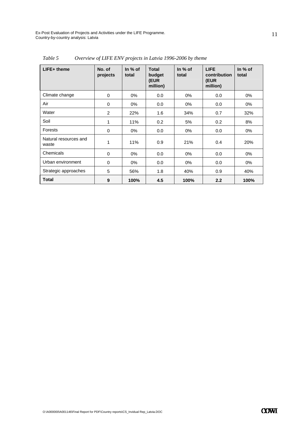| LIFE+ theme                    | No. of<br>projects | In $%$ of<br>total | <b>Total</b><br>budget<br>(EUR<br>million) | In $%$ of<br>total | <b>LIFE</b><br>contribution<br>(EUR<br>million) | In $%$ of<br>total |
|--------------------------------|--------------------|--------------------|--------------------------------------------|--------------------|-------------------------------------------------|--------------------|
| Climate change                 | 0                  | $0\%$              | 0.0                                        | $0\%$              | 0.0                                             | 0%                 |
| Air                            | 0                  | $0\%$              | 0.0                                        | $0\%$              | 0.0                                             | 0%                 |
| Water                          | $\mathfrak{p}$     | 22%                | 1.6                                        | 34%                | 0.7                                             | 32%                |
| Soil                           | 1                  | 11%                | 0.2                                        | 5%                 | 0.2                                             | 8%                 |
| Forests                        | 0                  | $0\%$              | 0.0                                        | 0%                 | 0.0                                             | 0%                 |
| Natural resources and<br>waste | 1                  | 11%                | 0.9                                        | 21%                | 0.4                                             | 20%                |
| Chemicals                      | 0                  | $0\%$              | 0.0                                        | $0\%$              | 0.0                                             | 0%                 |
| Urban environment              | 0                  | $0\%$              | 0.0                                        | $0\%$              | 0.0                                             | $0\%$              |
| Strategic approaches           | 5                  | 56%                | 1.8                                        | 40%                | 0.9                                             | 40%                |
| <b>Total</b>                   | 9                  | 100%               | 4.5                                        | 100%               | 2.2                                             | 100%               |

*Table 5 Overview of LIFE ENV projects in Latvia 1996-2006 by theme*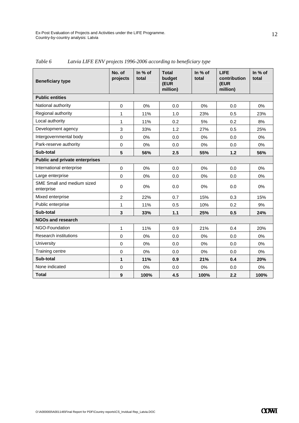| <b>Beneficiary type</b>                  | No. of<br>projects | In % of<br>total | <b>Total</b><br>budget<br>(EUR<br>million) | In % of<br>total | <b>LIFE</b><br>contribution<br>(EUR<br>million) | In % of<br>total |
|------------------------------------------|--------------------|------------------|--------------------------------------------|------------------|-------------------------------------------------|------------------|
| <b>Public entities</b>                   |                    |                  |                                            |                  |                                                 |                  |
| National authority                       | $\mathbf 0$        | 0%               | 0.0                                        | 0%               | 0.0                                             | 0%               |
| Regional authority                       | 1                  | 11%              | 1.0                                        | 23%              | 0.5                                             | 23%              |
| Local authority                          | $\mathbf{1}$       | 11%              | 0.2                                        | 5%               | 0.2                                             | 8%               |
| Development agency                       | 3                  | 33%              | 1.2                                        | 27%              | 0.5                                             | 25%              |
| Intergovernmental body                   | $\Omega$           | 0%               | 0.0                                        | $0\%$            | 0.0                                             | $0\%$            |
| Park-reserve authority                   | $\mathbf 0$        | 0%               | 0.0                                        | 0%               | 0.0                                             | 0%               |
| Sub-total                                | 5                  | 56%              | 2.5                                        | 55%              | 1.2                                             | 56%              |
| <b>Public and private enterprises</b>    |                    |                  |                                            |                  |                                                 |                  |
| International enterprise                 | $\Omega$           | 0%               | 0.0                                        | 0%               | 0.0                                             | 0%               |
| Large enterprise                         | $\Omega$           | 0%               | 0.0                                        | 0%               | 0.0                                             | 0%               |
| SME Small and medium sized<br>enterprise | $\mathbf 0$        | 0%               | 0.0                                        | $0\%$            | 0.0                                             | $0\%$            |
| Mixed enterprise                         | $\overline{2}$     | 22%              | 0.7                                        | 15%              | 0.3                                             | 15%              |
| Public enterprise                        | $\mathbf{1}$       | 11%              | 0.5                                        | 10%              | 0.2                                             | 9%               |
| Sub-total                                | 3                  | 33%              | $1.1$                                      | 25%              | 0.5                                             | 24%              |
| <b>NGOs and research</b>                 |                    |                  |                                            |                  |                                                 |                  |
| NGO-Foundation                           | 1                  | 11%              | 0.9                                        | 21%              | 0.4                                             | 20%              |
| <b>Research institutions</b>             | $\mathbf 0$        | 0%               | 0.0                                        | 0%               | 0.0                                             | 0%               |
| University                               | $\mathbf 0$        | 0%               | 0.0                                        | 0%               | 0.0                                             | 0%               |
| Training centre                          | $\mathbf 0$        | 0%               | 0.0                                        | 0%               | 0.0                                             | 0%               |
| Sub-total                                | 1                  | 11%              | 0.9                                        | 21%              | 0.4                                             | 20%              |
| None indicated                           | $\mathbf 0$        | 0%               | 0.0                                        | 0%               | 0.0                                             | $0\%$            |
| <b>Total</b>                             | 9                  | 100%             | 4.5                                        | 100%             | 2.2                                             | 100%             |

*Table 6 Latvia LIFE ENV projects 1996-2006 according to beneficiary type*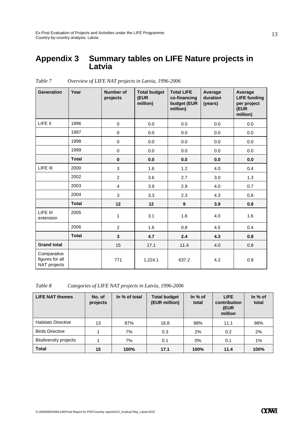#### **Appendix 3 Summary tables on LIFE Nature projects in Latvia**

| <b>Generation</b>                              | Year         | Number of<br>projects | <b>Total budget</b><br>(EUR<br>million) | <b>Total LIFE</b><br>co-financing<br>budget (EUR<br>million) | Average<br>duration<br>(years) | Average<br><b>LIFE funding</b><br>per project<br>(EUR<br>million) |
|------------------------------------------------|--------------|-----------------------|-----------------------------------------|--------------------------------------------------------------|--------------------------------|-------------------------------------------------------------------|
| LIFE II                                        | 1996         | $\mathbf 0$           | 0.0                                     | 0.0                                                          | 0.0                            | 0.0                                                               |
|                                                | 1997         | $\pmb{0}$             | 0.0                                     | 0.0                                                          | 0.0                            | 0.0                                                               |
|                                                | 1998         | $\mathbf 0$           | 0.0                                     | 0.0                                                          | 0.0                            | 0.0                                                               |
|                                                | 1999         | $\mathbf 0$           | 0.0                                     | 0.0                                                          | 0.0                            | 0.0                                                               |
|                                                | <b>Total</b> | $\mathbf 0$           | 0.0                                     | 0.0                                                          | 0.0                            | 0.0                                                               |
| LIFE III                                       | 2000         | $\mathbf{3}$          | 1.6                                     | 1.2                                                          | 4.0                            | 0.4                                                               |
|                                                | 2002         | $\overline{c}$        | 3.6                                     | 2.7                                                          | 3.0                            | 1.3                                                               |
|                                                | 2003         | 4                     | 3.9                                     | 2.9                                                          | 4.0                            | 0.7                                                               |
|                                                | 2004         | $\mathfrak{S}$        | 3.3                                     | 2.3                                                          | 4.3                            | 0.8                                                               |
|                                                | <b>Total</b> | 12                    | 12                                      | $\boldsymbol{9}$                                             | 3.9                            | 0.8                                                               |
| LIFE III<br>extension                          | 2005         | $\mathbf{1}$          | 3.1                                     | 1.6                                                          | 4.0                            | 1.6                                                               |
|                                                | 2006         | $\overline{c}$        | 1.6                                     | 0.8                                                          | 4.5                            | 0.4                                                               |
|                                                | <b>Total</b> | $\mathbf{3}$          | 4.7                                     | 2.4                                                          | 4.3                            | 0.8                                                               |
| <b>Grand total</b>                             |              | 15                    | 17.1                                    | 11.4                                                         | 4.0                            | 0.8                                                               |
| Comparative<br>figures for all<br>NAT projects |              | 771                   | 1,224.1                                 | 637.2                                                        | 4.2                            | 0.8                                                               |

*Table 7 Overview of LIFE NAT projects in Latvia, 1996-2006* 

*Table 8 Categories of LIFE NAT projects in Latvia, 1996-2006* 

| <b>LIFE NAT themes</b>       | No. of<br>projects | In % of total | <b>Total budget</b><br>(EUR million) | In $%$ of<br>total | <b>LIFE</b><br>contribution<br>(EUR<br>million | In $%$ of<br>total |
|------------------------------|--------------------|---------------|--------------------------------------|--------------------|------------------------------------------------|--------------------|
| <b>Habitats Directive</b>    | 13                 | 87%           | 16.8                                 | 98%                | 11.1                                           | 98%                |
| <b>Birds Directive</b>       |                    | 7%            | 0.3                                  | 2%                 | 0.2                                            | 2%                 |
| <b>Biodiversity projects</b> |                    | 7%            | 0.1                                  | 0%                 | 0.1                                            | 1%                 |
| <b>Total</b>                 | 15                 | 100%          | 17.1                                 | 100%               | 11.4                                           | 100%               |